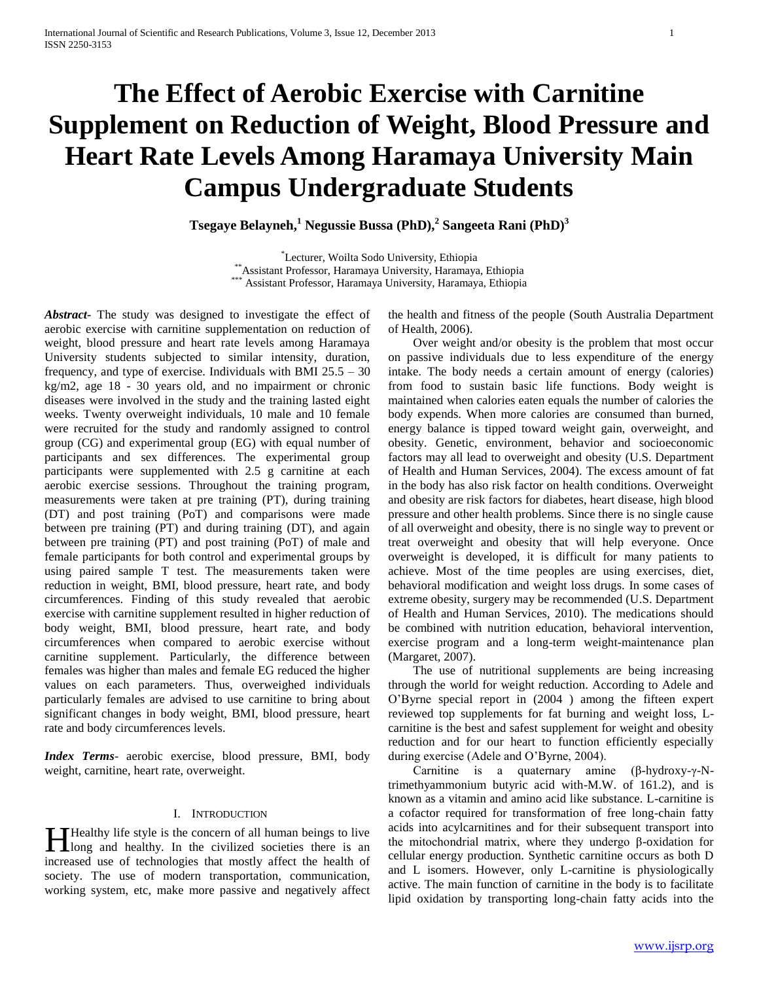# **The Effect of Aerobic Exercise with Carnitine Supplement on Reduction of Weight, Blood Pressure and Heart Rate Levels Among Haramaya University Main Campus Undergraduate Students**

**Tsegaye Belayneh,<sup>1</sup> Negussie Bussa (PhD),<sup>2</sup> Sangeeta Rani (PhD)<sup>3</sup>**

\*Lecturer, Woilta Sodo University, Ethiopia \*\*Assistant Professor, Haramaya University, Haramaya, Ethiopia \*\*\* Assistant Professor, Haramaya University, Haramaya, Ethiopia

*Abstract***-** The study was designed to investigate the effect of aerobic exercise with carnitine supplementation on reduction of weight, blood pressure and heart rate levels among Haramaya University students subjected to similar intensity, duration, frequency, and type of exercise. Individuals with BMI 25.5 – 30 kg/m2, age 18 - 30 years old, and no impairment or chronic diseases were involved in the study and the training lasted eight weeks. Twenty overweight individuals, 10 male and 10 female were recruited for the study and randomly assigned to control group (CG) and experimental group (EG) with equal number of participants and sex differences. The experimental group participants were supplemented with 2.5 g carnitine at each aerobic exercise sessions. Throughout the training program, measurements were taken at pre training (PT), during training (DT) and post training (PoT) and comparisons were made between pre training (PT) and during training (DT), and again between pre training (PT) and post training (PoT) of male and female participants for both control and experimental groups by using paired sample T test. The measurements taken were reduction in weight, BMI, blood pressure, heart rate, and body circumferences. Finding of this study revealed that aerobic exercise with carnitine supplement resulted in higher reduction of body weight, BMI, blood pressure, heart rate, and body circumferences when compared to aerobic exercise without carnitine supplement. Particularly, the difference between females was higher than males and female EG reduced the higher values on each parameters. Thus, overweighed individuals particularly females are advised to use carnitine to bring about significant changes in body weight, BMI, blood pressure, heart rate and body circumferences levels.

*Index Terms*- aerobic exercise, blood pressure, BMI, body weight, carnitine, heart rate, overweight.

# I. INTRODUCTION

**T** Healthy life style is the concern of all human beings to live **H** Healthy life style is the concern of all human beings to live long and healthy. In the civilized societies there is an increased use of technologies that mostly affect the health of society. The use of modern transportation, communication, working system, etc, make more passive and negatively affect

the health and fitness of the people (South Australia Department of Health, 2006).

 Over weight and/or obesity is the problem that most occur on passive individuals due to less expenditure of the energy intake. The body needs a certain amount of energy (calories) from food to sustain basic life functions. Body weight is maintained when calories eaten equals the number of calories the body expends. When more calories are consumed than burned, energy balance is tipped toward weight gain, overweight, and obesity. Genetic, environment, behavior and socioeconomic factors may all lead to overweight and obesity (U.S. Department of Health and Human Services, 2004). The excess amount of fat in the body has also risk factor on health conditions. Overweight and obesity are risk factors for diabetes, heart disease, high blood pressure and other health problems. Since there is no single cause of all overweight and obesity, there is no single way to prevent or treat overweight and obesity that will help everyone. Once overweight is developed, it is difficult for many patients to achieve. Most of the time peoples are using exercises, diet, behavioral modification and weight loss drugs. In some cases of extreme obesity, surgery may be recommended (U.S. Department of Health and Human Services, 2010). The medications should be combined with nutrition education, behavioral intervention, exercise program and a long-term weight-maintenance plan (Margaret, 2007).

 The use of nutritional supplements are being increasing through the world for weight reduction. According to Adele and O'Byrne special report in (2004 ) among the fifteen expert reviewed top supplements for fat burning and weight loss, Lcarnitine is the best and safest supplement for weight and obesity reduction and for our heart to function efficiently especially during exercise (Adele and O'Byrne, 2004).

 Carnitine is a quaternary amine (β-hydroxy-γ-Ntrimethyammonium butyric acid with-M.W. of 161.2), and is known as a vitamin and amino acid like substance. L-carnitine is a cofactor required for transformation of free long-chain fatty acids into acylcarnitines and for their subsequent transport into the mitochondrial matrix, where they undergo β-oxidation for cellular energy production. Synthetic carnitine occurs as both D and L isomers. However, only L-carnitine is physiologically active. The main function of carnitine in the body is to facilitate lipid oxidation by transporting long-chain fatty acids into the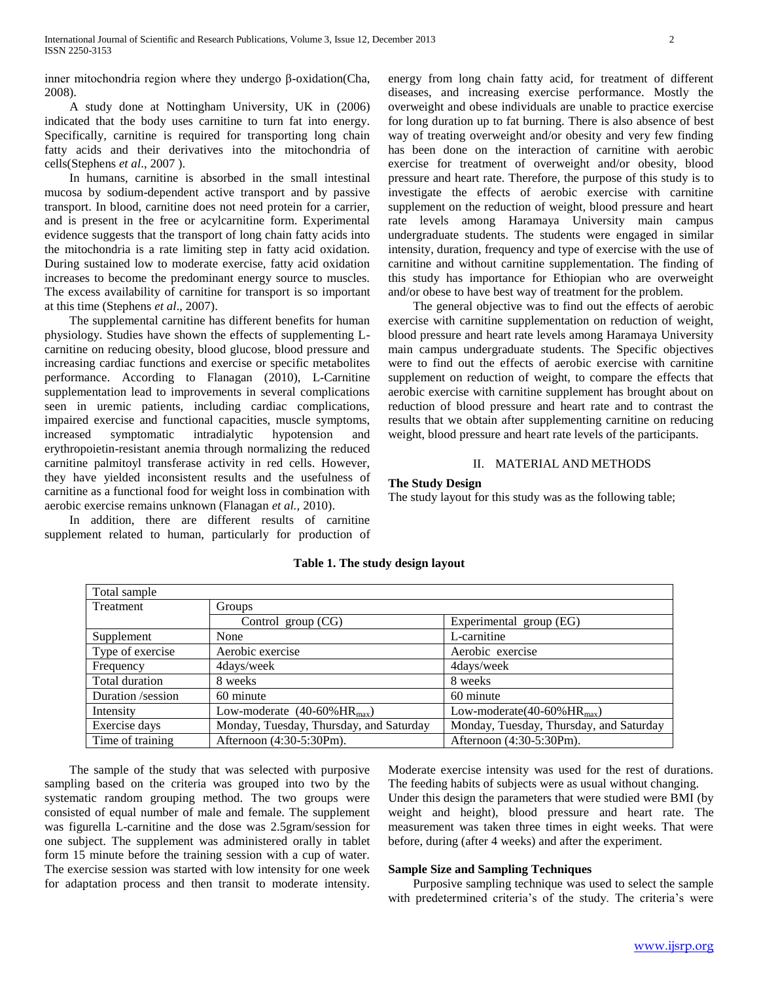inner mitochondria region where they undergo β-oxidation(Cha, 2008).

 A study done at Nottingham University, UK in (2006) indicated that the body uses carnitine to turn fat into energy. Specifically, carnitine is required for transporting long chain fatty acids and their derivatives into the mitochondria of cells(Stephens *et al*., 2007 ).

 In humans, carnitine is absorbed in the small intestinal mucosa by sodium-dependent active transport and by passive transport. In blood, carnitine does not need protein for a carrier, and is present in the free or acylcarnitine form. Experimental evidence suggests that the transport of long chain fatty acids into the mitochondria is a rate limiting step in fatty acid oxidation. During sustained low to moderate exercise, fatty acid oxidation increases to become the predominant energy source to muscles. The excess availability of carnitine for transport is so important at this time (Stephens *et al*., 2007).

 The supplemental carnitine has different benefits for human physiology. Studies have shown the effects of supplementing Lcarnitine on reducing obesity, blood glucose, blood pressure and increasing cardiac functions and exercise or specific metabolites performance. According to Flanagan (2010), L-Carnitine supplementation lead to improvements in several complications seen in uremic patients, including cardiac complications, impaired exercise and functional capacities, muscle symptoms, increased symptomatic intradialytic hypotension and erythropoietin-resistant anemia through normalizing the reduced carnitine palmitoyl transferase activity in red cells. However, they have yielded inconsistent results and the usefulness of carnitine as a functional food for weight loss in combination with aerobic exercise remains unknown (Flanagan *et al.,* 2010).

 In addition, there are different results of carnitine supplement related to human, particularly for production of energy from long chain fatty acid, for treatment of different diseases, and increasing exercise performance. Mostly the overweight and obese individuals are unable to practice exercise for long duration up to fat burning. There is also absence of best way of treating overweight and/or obesity and very few finding has been done on the interaction of carnitine with aerobic exercise for treatment of overweight and/or obesity, blood pressure and heart rate. Therefore, the purpose of this study is to investigate the effects of aerobic exercise with carnitine supplement on the reduction of weight, blood pressure and heart rate levels among Haramaya University main campus undergraduate students. The students were engaged in similar intensity, duration, frequency and type of exercise with the use of carnitine and without carnitine supplementation. The finding of this study has importance for Ethiopian who are overweight and/or obese to have best way of treatment for the problem.

 The general objective was to find out the effects of aerobic exercise with carnitine supplementation on reduction of weight, blood pressure and heart rate levels among Haramaya University main campus undergraduate students. The Specific objectives were to find out the effects of aerobic exercise with carnitine supplement on reduction of weight, to compare the effects that aerobic exercise with carnitine supplement has brought about on reduction of blood pressure and heart rate and to contrast the results that we obtain after supplementing carnitine on reducing weight, blood pressure and heart rate levels of the participants.

#### II. MATERIAL AND METHODS

## **The Study Design**

The study layout for this study was as the following table;

| Total sample      |                                                 |                                             |
|-------------------|-------------------------------------------------|---------------------------------------------|
| Treatment         | <b>Groups</b>                                   |                                             |
|                   | Control group (CG)                              | Experimental group (EG)                     |
| Supplement        | None                                            | L-carnitine                                 |
| Type of exercise  | Aerobic exercise                                | Aerobic exercise                            |
| Frequency         | 4days/week                                      | 4days/week                                  |
| Total duration    | 8 weeks                                         | 8 weeks                                     |
| Duration /session | 60 minute                                       | 60 minute                                   |
| Intensity         | Low-moderate $(40-60\% \text{HR}_{\text{max}})$ | Low-moderate $(40-60\%$ HR <sub>max</sub> ) |
| Exercise days     | Monday, Tuesday, Thursday, and Saturday         | Monday, Tuesday, Thursday, and Saturday     |
| Time of training  | Afternoon (4:30-5:30Pm).                        | Afternoon (4:30-5:30Pm).                    |

# **Table 1. The study design layout**

 The sample of the study that was selected with purposive sampling based on the criteria was grouped into two by the systematic random grouping method. The two groups were consisted of equal number of male and female. The supplement was figurella L-carnitine and the dose was 2.5gram/session for one subject. The supplement was administered orally in tablet form 15 minute before the training session with a cup of water. The exercise session was started with low intensity for one week for adaptation process and then transit to moderate intensity. Moderate exercise intensity was used for the rest of durations. The feeding habits of subjects were as usual without changing. Under this design the parameters that were studied were BMI (by weight and height), blood pressure and heart rate. The measurement was taken three times in eight weeks. That were before, during (after 4 weeks) and after the experiment.

#### **Sample Size and Sampling Techniques**

 Purposive sampling technique was used to select the sample with predetermined criteria's of the study. The criteria's were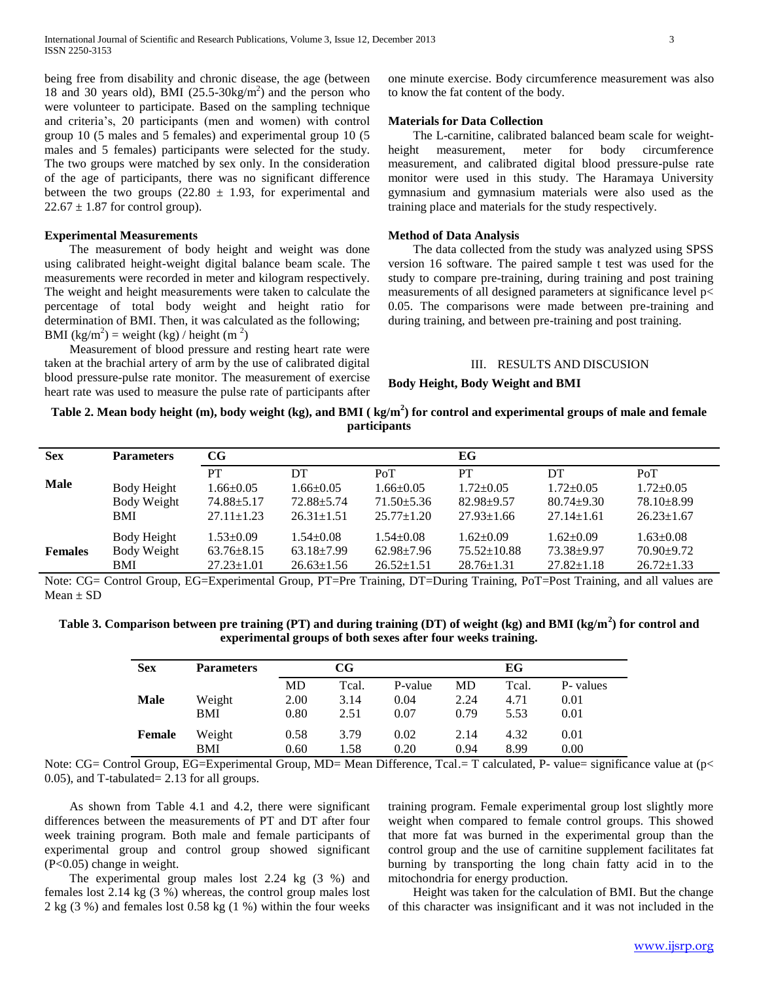being free from disability and chronic disease, the age (between 18 and 30 years old), BMI  $(25.5-30\text{kg/m}^2)$  and the person who were volunteer to participate. Based on the sampling technique and criteria's, 20 participants (men and women) with control group 10 (5 males and 5 females) and experimental group 10 (5 males and 5 females) participants were selected for the study. The two groups were matched by sex only. In the consideration of the age of participants, there was no significant difference between the two groups  $(22.80 \pm 1.93)$ , for experimental and  $22.67 \pm 1.87$  for control group).

#### **Experimental Measurements**

 The measurement of body height and weight was done using calibrated height-weight digital balance beam scale. The measurements were recorded in meter and kilogram respectively. The weight and height measurements were taken to calculate the percentage of total body weight and height ratio for determination of BMI. Then, it was calculated as the following; BMI (kg/m<sup>2</sup>) = weight (kg) / height (m<sup>2</sup>)

 Measurement of blood pressure and resting heart rate were taken at the brachial artery of arm by the use of calibrated digital blood pressure-pulse rate monitor. The measurement of exercise heart rate was used to measure the pulse rate of participants after

one minute exercise. Body circumference measurement was also to know the fat content of the body.

#### **Materials for Data Collection**

 The L-carnitine, calibrated balanced beam scale for weightheight measurement, meter for body circumference measurement, and calibrated digital blood pressure-pulse rate monitor were used in this study. The Haramaya University gymnasium and gymnasium materials were also used as the training place and materials for the study respectively.

## **Method of Data Analysis**

 The data collected from the study was analyzed using SPSS version 16 software. The paired sample t test was used for the study to compare pre-training, during training and post training measurements of all designed parameters at significance level p< 0.05. The comparisons were made between pre-training and during training, and between pre-training and post training.

#### III. RESULTS AND DISCUSION

**Body Height, Body Weight and BMI**

# **Table 2. Mean body height (m), body weight (kg), and BMI ( kg/m<sup>2</sup> ) for control and experimental groups of male and female participants**

| <b>Sex</b>     | <b>Parameters</b>                        | CG                                                                   |                                                               |                                                                | EG                                                            |                                                               |                                                                |  |
|----------------|------------------------------------------|----------------------------------------------------------------------|---------------------------------------------------------------|----------------------------------------------------------------|---------------------------------------------------------------|---------------------------------------------------------------|----------------------------------------------------------------|--|
| <b>Male</b>    | Body Height<br>Body Weight<br><b>BMI</b> | <b>PT</b><br>$1.66 \pm 0.05$<br>$74.88 \pm 5.17$<br>$27.11 \pm 1.23$ | DT<br>$1.66 \pm 0.05$<br>$72.88 \pm 5.74$<br>$26.31 \pm 1.51$ | PoT<br>$1.66 \pm 0.05$<br>$71.50 \pm 5.36$<br>$25.77 \pm 1.20$ | PТ<br>$1.72 \pm 0.05$<br>$82.98 \pm 9.57$<br>$27.93 \pm 1.66$ | DT<br>$1.72 \pm 0.05$<br>$80.74 \pm 9.30$<br>$27.14 \pm 1.61$ | PoT<br>$1.72 \pm 0.05$<br>$78.10 \pm 8.99$<br>$26.23 \pm 1.67$ |  |
| <b>Females</b> | Body Height<br>Body Weight<br>BMI        | $1.53 \pm 0.09$<br>$63.76 \pm 8.15$<br>$27.23 \pm 1.01$              | $1.54 + 0.08$<br>$63.18 \pm 7.99$<br>$26.63 \pm 1.56$         | $1.54 \pm 0.08$<br>$62.98 \pm 7.96$<br>$26.52 \pm 1.51$        | $1.62 \pm 0.09$<br>$75.52 \pm 10.88$<br>$28.76 \pm 1.31$      | $1.62 \pm 0.09$<br>73.38±9.97<br>$27.82 \pm 1.18$             | $1.63 \pm 0.08$<br>$70.90 \pm 9.72$<br>$26.72 \pm 1.33$        |  |

Note: CG= Control Group, EG=Experimental Group, PT=Pre Training, DT=During Training, PoT=Post Training, and all values are  $Mean \pm SD$ 

**Table 3. Comparison between pre training (PT) and during training (DT) of weight (kg) and BMI (kg/m<sup>2</sup> ) for control and experimental groups of both sexes after four weeks training.**

| <b>Sex</b>  | <b>Parameters</b> |      | $\mathbf{CG}$ |         | EG   |       |          |  |
|-------------|-------------------|------|---------------|---------|------|-------|----------|--|
|             |                   | MD   | Tcal.         | P-value | MD   | Tcal. | P-values |  |
| <b>Male</b> | Weight            | 2.00 | 3.14          | 0.04    | 2.24 | 4.71  | 0.01     |  |
|             | BMI               | 0.80 | 2.51          | 0.07    | 0.79 | 5.53  | 0.01     |  |
| Female      | Weight            | 0.58 | 3.79          | 0.02    | 2.14 | 4.32  | 0.01     |  |
|             | BMI               | 0.60 | 1.58          | 0.20    | 0.94 | 8.99  | 0.00     |  |

Note: CG= Control Group, EG=Experimental Group, MD= Mean Difference, Tcal.= T calculated, P- value= significance value at (p< 0.05), and T-tabulated= 2.13 for all groups.

 As shown from Table 4.1 and 4.2, there were significant differences between the measurements of PT and DT after four week training program. Both male and female participants of experimental group and control group showed significant (P<0.05) change in weight.

 The experimental group males lost 2.24 kg (3 %) and females lost 2.14 kg (3 %) whereas, the control group males lost 2 kg (3 %) and females lost 0.58 kg (1 %) within the four weeks training program. Female experimental group lost slightly more weight when compared to female control groups. This showed that more fat was burned in the experimental group than the control group and the use of carnitine supplement facilitates fat burning by transporting the long chain fatty acid in to the mitochondria for energy production.

 Height was taken for the calculation of BMI. But the change of this character was insignificant and it was not included in the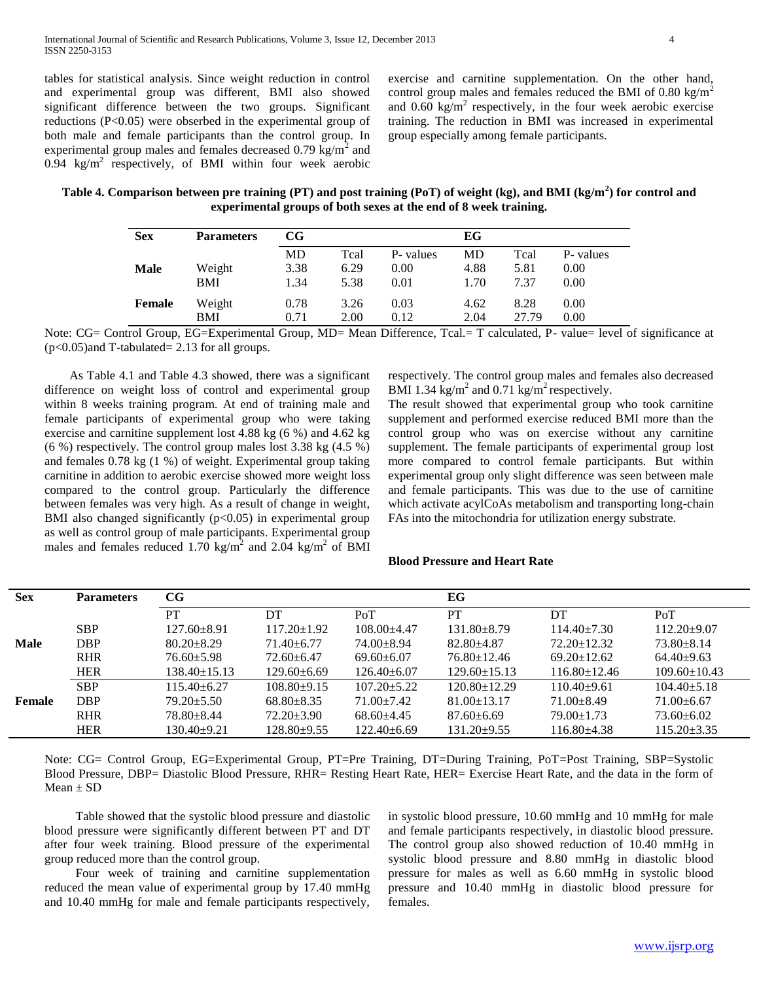tables for statistical analysis. Since weight reduction in control and experimental group was different, BMI also showed significant difference between the two groups. Significant reductions (P<0.05) were obserbed in the experimental group of both male and female participants than the control group. In experimental group males and females decreased 0.79  $\text{kg/m}^2$  and  $0.94 \text{ kg/m}^2$  respectively, of BMI within four week aerobic exercise and carnitine supplementation. On the other hand, control group males and females reduced the BMI of  $0.80 \text{ kg/m}^2$ and  $0.60 \text{ kg/m}^2$  respectively, in the four week aerobic exercise training. The reduction in BMI was increased in experimental group especially among female participants.

**Table 4. Comparison between pre training (PT) and post training (PoT) of weight (kg), and BMI (kg/m<sup>2</sup> ) for control and experimental groups of both sexes at the end of 8 week training.**

| <b>Sex</b>  | <b>Parameters</b> | $_{\rm CG}$ |      |          | EG   |       |          |
|-------------|-------------------|-------------|------|----------|------|-------|----------|
|             |                   | MD          | Tcal | P-values | MD   | Tcal  | P-values |
| <b>Male</b> | Weight            | 3.38        | 6.29 | 0.00     | 4.88 | 5.81  | 0.00     |
|             | <b>BMI</b>        | 1.34        | 5.38 | 0.01     | 1.70 | 7.37  | 0.00     |
| Female      | Weight            | 0.78        | 3.26 | 0.03     | 4.62 | 8.28  | 0.00     |
|             | BMI               | 0.71        | 2.00 | 0.12     | 2.04 | 27.79 | 0.00     |

Note: CG= Control Group, EG=Experimental Group, MD= Mean Difference, Tcal.= T calculated, P- value= level of significance at (p<0.05)and T-tabulated= 2.13 for all groups.

 As Table 4.1 and Table 4.3 showed, there was a significant difference on weight loss of control and experimental group within 8 weeks training program. At end of training male and female participants of experimental group who were taking exercise and carnitine supplement lost 4.88 kg (6 %) and 4.62 kg (6 %) respectively. The control group males lost 3.38 kg (4.5 %) and females 0.78 kg (1 %) of weight. Experimental group taking carnitine in addition to aerobic exercise showed more weight loss compared to the control group. Particularly the difference between females was very high. As a result of change in weight, BMI also changed significantly  $(p<0.05)$  in experimental group as well as control group of male participants. Experimental group males and females reduced 1.70 kg/m<sup>2</sup> and 2.04 kg/m<sup>2</sup> of BMI respectively. The control group males and females also decreased BMI 1.34 kg/m<sup>2</sup> and 0.71 kg/m<sup>2</sup> respectively.

The result showed that experimental group who took carnitine supplement and performed exercise reduced BMI more than the control group who was on exercise without any carnitine supplement. The female participants of experimental group lost more compared to control female participants. But within experimental group only slight difference was seen between male and female participants. This was due to the use of carnitine which activate acylCoAs metabolism and transporting long-chain FAs into the mitochondria for utilization energy substrate.

#### **Blood Pressure and Heart Rate**

| <b>Sex</b>  | <b>Parameters</b> | $_{\rm CG}$        |                   |                   | EG                 |                    |                    |  |  |
|-------------|-------------------|--------------------|-------------------|-------------------|--------------------|--------------------|--------------------|--|--|
|             |                   | PT                 | DT                | PoT               | PT                 | DT                 | PoT                |  |  |
|             | <b>SBP</b>        | $127.60 \pm 8.91$  | $117.20 \pm 1.92$ | $108.00 + 4.47$   | $131.80 \pm 8.79$  | $114.40 \pm 7.30$  | $112.20+9.07$      |  |  |
| <b>Male</b> | DBP               | $80.20 \pm 8.29$   | $71.40 + 6.77$    | 74.00+8.94        | $82.80 + 4.87$     | $72.20 \pm 12.32$  | $73.80 + 8.14$     |  |  |
|             | <b>RHR</b>        | $76.60 \pm 5.98$   | $72.60 + 6.47$    | $69.60 \pm 6.07$  | $76.80 \pm 12.46$  | $69.20 \pm 12.62$  | $64.40+9.63$       |  |  |
|             | <b>HER</b>        | $138.40 \pm 15.13$ | 129.60±6.69       | $126.40\pm 6.07$  | $129.60 \pm 15.13$ | $116.80 \pm 12.46$ | $109.60 \pm 10.43$ |  |  |
|             | <b>SBP</b>        | $115.40 \pm 6.27$  | $108.80+9.15$     | $107.20 \pm 5.22$ | $120.80 \pm 12.29$ | $110.40+9.61$      | $104.40 \pm 5.18$  |  |  |
| Female      | DBP               | $79.20 \pm 5.50$   | $68.80 + 8.35$    | $71.00+7.42$      | $81.00 \pm 13.17$  | $71.00 \pm 8.49$   | $71.00\pm 6.67$    |  |  |
|             | <b>RHR</b>        | $78.80 + 8.44$     | $72.20 \pm 3.90$  | $68.60 + 4.45$    | $87.60 \pm 6.69$   | $79.00 \pm 1.73$   | $73.60 \pm 6.02$   |  |  |
|             | <b>HER</b>        | $130.40 \pm 9.21$  | 128.80±9.55       | $122.40 \pm 6.69$ | $131.20 \pm 9.55$  | $116.80{\pm}4.38$  | $115.20 \pm 3.35$  |  |  |

Note: CG= Control Group, EG=Experimental Group, PT=Pre Training, DT=During Training, PoT=Post Training, SBP=Systolic Blood Pressure, DBP= Diastolic Blood Pressure, RHR= Resting Heart Rate, HER= Exercise Heart Rate, and the data in the form of  $Mean \pm SD$ 

 Table showed that the systolic blood pressure and diastolic blood pressure were significantly different between PT and DT after four week training. Blood pressure of the experimental group reduced more than the control group.

 Four week of training and carnitine supplementation reduced the mean value of experimental group by 17.40 mmHg and 10.40 mmHg for male and female participants respectively,

in systolic blood pressure, 10.60 mmHg and 10 mmHg for male and female participants respectively, in diastolic blood pressure. The control group also showed reduction of 10.40 mmHg in systolic blood pressure and 8.80 mmHg in diastolic blood pressure for males as well as 6.60 mmHg in systolic blood pressure and 10.40 mmHg in diastolic blood pressure for females.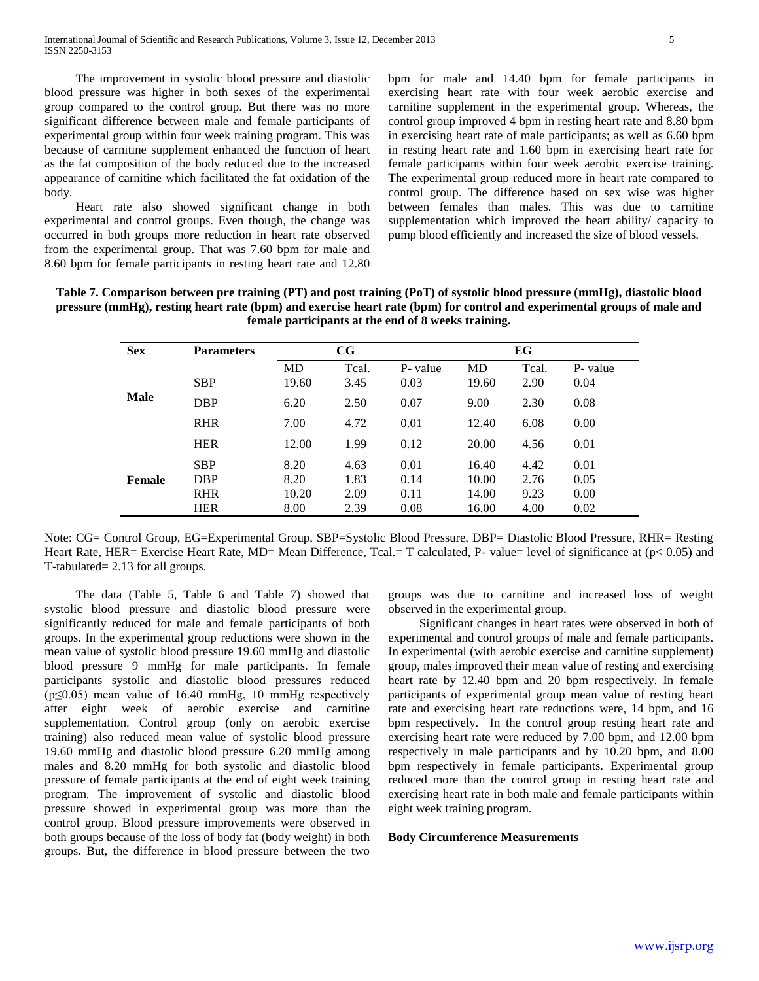The improvement in systolic blood pressure and diastolic blood pressure was higher in both sexes of the experimental group compared to the control group. But there was no more significant difference between male and female participants of experimental group within four week training program. This was because of carnitine supplement enhanced the function of heart as the fat composition of the body reduced due to the increased appearance of carnitine which facilitated the fat oxidation of the body.

 Heart rate also showed significant change in both experimental and control groups. Even though, the change was occurred in both groups more reduction in heart rate observed from the experimental group. That was 7.60 bpm for male and 8.60 bpm for female participants in resting heart rate and 12.80

bpm for male and 14.40 bpm for female participants in exercising heart rate with four week aerobic exercise and carnitine supplement in the experimental group. Whereas, the control group improved 4 bpm in resting heart rate and 8.80 bpm in exercising heart rate of male participants; as well as 6.60 bpm in resting heart rate and 1.60 bpm in exercising heart rate for female participants within four week aerobic exercise training. The experimental group reduced more in heart rate compared to control group. The difference based on sex wise was higher between females than males. This was due to carnitine supplementation which improved the heart ability/ capacity to pump blood efficiently and increased the size of blood vessels.

**Table 7. Comparison between pre training (PT) and post training (PoT) of systolic blood pressure (mmHg), diastolic blood pressure (mmHg), resting heart rate (bpm) and exercise heart rate (bpm) for control and experimental groups of male and female participants at the end of 8 weeks training.**

| <b>Sex</b>  | <b>Parameters</b> |           | $_{\rm CG}$ |          |       | EG    |          |
|-------------|-------------------|-----------|-------------|----------|-------|-------|----------|
|             |                   | <b>MD</b> | Tcal.       | P- value | MD    | Tcal. | P- value |
| <b>Male</b> | <b>SBP</b>        | 19.60     | 3.45        | 0.03     | 19.60 | 2.90  | 0.04     |
|             | <b>DBP</b>        | 6.20      | 2.50        | 0.07     | 9.00  | 2.30  | 0.08     |
|             | <b>RHR</b>        | 7.00      | 4.72        | 0.01     | 12.40 | 6.08  | 0.00     |
|             | <b>HER</b>        | 12.00     | 1.99        | 0.12     | 20.00 | 4.56  | 0.01     |
|             | <b>SBP</b>        | 8.20      | 4.63        | 0.01     | 16.40 | 4.42  | 0.01     |
| Female      | <b>DBP</b>        | 8.20      | 1.83        | 0.14     | 10.00 | 2.76  | 0.05     |
|             | <b>RHR</b>        | 10.20     | 2.09        | 0.11     | 14.00 | 9.23  | 0.00     |
|             | <b>HER</b>        | 8.00      | 2.39        | 0.08     | 16.00 | 4.00  | 0.02     |

Note: CG= Control Group, EG=Experimental Group, SBP=Systolic Blood Pressure, DBP= Diastolic Blood Pressure, RHR= Resting Heart Rate, HER= Exercise Heart Rate, MD= Mean Difference, Tcal.= T calculated, P- value= level of significance at (p< 0.05) and T-tabulated= 2.13 for all groups.

 The data (Table 5, Table 6 and Table 7) showed that systolic blood pressure and diastolic blood pressure were significantly reduced for male and female participants of both groups. In the experimental group reductions were shown in the mean value of systolic blood pressure 19.60 mmHg and diastolic blood pressure 9 mmHg for male participants. In female participants systolic and diastolic blood pressures reduced  $(p \le 0.05)$  mean value of 16.40 mmHg, 10 mmHg respectively after eight week of aerobic exercise and carnitine supplementation. Control group (only on aerobic exercise training) also reduced mean value of systolic blood pressure 19.60 mmHg and diastolic blood pressure 6.20 mmHg among males and 8.20 mmHg for both systolic and diastolic blood pressure of female participants at the end of eight week training program. The improvement of systolic and diastolic blood pressure showed in experimental group was more than the control group. Blood pressure improvements were observed in both groups because of the loss of body fat (body weight) in both groups. But, the difference in blood pressure between the two

groups was due to carnitine and increased loss of weight observed in the experimental group.

 Significant changes in heart rates were observed in both of experimental and control groups of male and female participants. In experimental (with aerobic exercise and carnitine supplement) group, males improved their mean value of resting and exercising heart rate by 12.40 bpm and 20 bpm respectively. In female participants of experimental group mean value of resting heart rate and exercising heart rate reductions were, 14 bpm, and 16 bpm respectively. In the control group resting heart rate and exercising heart rate were reduced by 7.00 bpm, and 12.00 bpm respectively in male participants and by 10.20 bpm, and 8.00 bpm respectively in female participants. Experimental group reduced more than the control group in resting heart rate and exercising heart rate in both male and female participants within eight week training program.

#### **Body Circumference Measurements**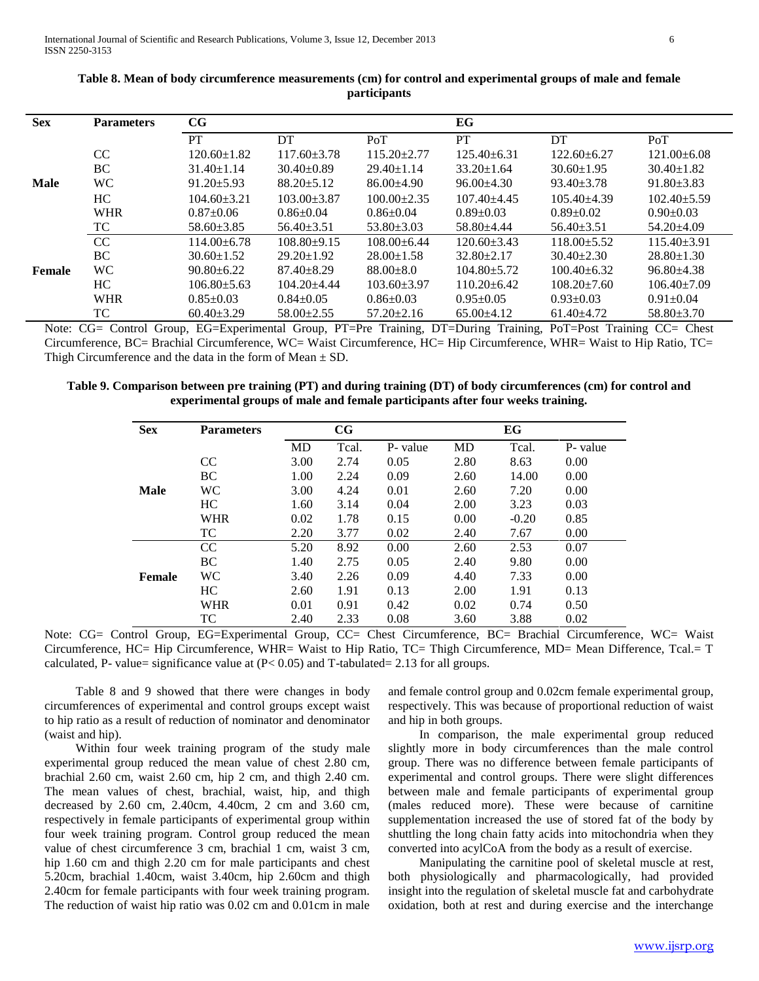| <b>Sex</b>  | <b>Parameters</b> | CG                |                   |                   | EG                |                   |                   |
|-------------|-------------------|-------------------|-------------------|-------------------|-------------------|-------------------|-------------------|
|             |                   | <b>PT</b>         | DT                | PoT               | <b>PT</b>         | DT                | PoT               |
|             | CC                | $120.60 \pm 1.82$ | $117.60 \pm 3.78$ | $115.20 + 2.77$   | $125.40 + 6.31$   | $122.60 + 6.27$   | $121.00 + 6.08$   |
|             | BC                | $31.40 \pm 1.14$  | $30.40 \pm 0.89$  | $29.40 \pm 1.14$  | $33.20 \pm 1.64$  | $30.60 \pm 1.95$  | $30.40 \pm 1.82$  |
| <b>Male</b> | WC                | $91.20 \pm 5.93$  | $88.20 \pm 5.12$  | $86.00 \pm 4.90$  | $96.00\pm4.30$    | $93.40 \pm 3.78$  | $91.80 \pm 3.83$  |
|             | HC.               | $104.60 \pm 3.21$ | $103.00 + 3.87$   | $100.00 \pm 2.35$ | $107.40 + 4.45$   | $105.40\pm4.39$   | $102.40 \pm 5.59$ |
|             | <b>WHR</b>        | $0.87 \pm 0.06$   | $0.86 \pm 0.04$   | $0.86 \pm 0.04$   | $0.89 \pm 0.03$   | $0.89 + 0.02$     | $0.90+0.03$       |
|             | TC                | $58.60 \pm 3.85$  | $56.40 \pm 3.51$  | $53.80 \pm 3.03$  | $58.80 + 4.44$    | $56.40 \pm 3.51$  | $54.20 + 4.09$    |
|             | CC                | $114.00 + 6.78$   | $108.80+9.15$     | $108.00 \pm 6.44$ | $120.60 \pm 3.43$ | $118.00 + 5.52$   | $115.40 \pm 3.91$ |
|             | BC                | $30.60 \pm 1.52$  | $29.20 \pm 1.92$  | $28.00 \pm 1.58$  | $32.80 + 2.17$    | $30.40 \pm 2.30$  | $28.80 \pm 1.30$  |
| Female      | WC                | $90.80 \pm 6.22$  | $87.40 \pm 8.29$  | $88.00 \pm 8.0$   | $104.80 \pm 5.72$ | $100.40 \pm 6.32$ | $96.80 + 4.38$    |
|             | HC.               | $106.80 \pm 5.63$ | $104.20 + 4.44$   | $103.60 + 3.97$   | $110.20 \pm 6.42$ | $108.20 \pm 7.60$ | $106.40\pm7.09$   |
|             | <b>WHR</b>        | $0.85 \pm 0.03$   | $0.84 \pm 0.05$   | $0.86 \pm 0.03$   | $0.95 \pm 0.05$   | $0.93 \pm 0.03$   | $0.91 \pm 0.04$   |
|             | TC                | $60.40 \pm 3.29$  | $58.00 \pm 2.55$  | $57.20 \pm 2.16$  | $65.00\pm4.12$    | $61.40 \pm 4.72$  | $58.80 \pm 3.70$  |

| Table 8. Mean of body circumference measurements (cm) for control and experimental groups of male and female |
|--------------------------------------------------------------------------------------------------------------|
| <i>participants</i>                                                                                          |

Note: CG= Control Group, EG=Experimental Group, PT=Pre Training, DT=During Training, PoT=Post Training CC= Chest Circumference, BC= Brachial Circumference, WC= Waist Circumference, HC= Hip Circumference, WHR= Waist to Hip Ratio, TC= Thigh Circumference and the data in the form of Mean  $\pm$  SD.

**Table 9. Comparison between pre training (PT) and during training (DT) of body circumferences (cm) for control and experimental groups of male and female participants after four weeks training.**

| <b>Sex</b> | <b>Parameters</b> |      | $_{\rm CG}$ |          |      | EG      |          |
|------------|-------------------|------|-------------|----------|------|---------|----------|
|            |                   | MD   | Tcal.       | P- value | MD   | Tcal.   | P- value |
|            | CC                | 3.00 | 2.74        | 0.05     | 2.80 | 8.63    | 0.00     |
|            | <b>BC</b>         | 1.00 | 2.24        | 0.09     | 2.60 | 14.00   | 0.00     |
| Male       | WС                | 3.00 | 4.24        | 0.01     | 2.60 | 7.20    | 0.00     |
|            | HC.               | 1.60 | 3.14        | 0.04     | 2.00 | 3.23    | 0.03     |
|            | <b>WHR</b>        | 0.02 | 1.78        | 0.15     | 0.00 | $-0.20$ | 0.85     |
|            | TC                | 2.20 | 3.77        | 0.02     | 2.40 | 7.67    | 0.00     |
|            | CC                | 5.20 | 8.92        | 0.00     | 2.60 | 2.53    | 0.07     |
|            | BC                | 1.40 | 2.75        | 0.05     | 2.40 | 9.80    | 0.00     |
| Female     | WС                | 3.40 | 2.26        | 0.09     | 4.40 | 7.33    | 0.00     |
|            | HC                | 2.60 | 1.91        | 0.13     | 2.00 | 1.91    | 0.13     |
|            | <b>WHR</b>        | 0.01 | 0.91        | 0.42     | 0.02 | 0.74    | 0.50     |
|            | TC                | 2.40 | 2.33        | 0.08     | 3.60 | 3.88    | 0.02     |

Note: CG= Control Group, EG=Experimental Group, CC= Chest Circumference, BC= Brachial Circumference, WC= Waist Circumference, HC= Hip Circumference, WHR= Waist to Hip Ratio, TC= Thigh Circumference, MD= Mean Difference, Tcal.= T calculated, P- value= significance value at  $(P< 0.05)$  and T-tabulated= 2.13 for all groups.

 Table 8 and 9 showed that there were changes in body circumferences of experimental and control groups except waist to hip ratio as a result of reduction of nominator and denominator (waist and hip).

 Within four week training program of the study male experimental group reduced the mean value of chest 2.80 cm, brachial 2.60 cm, waist 2.60 cm, hip 2 cm, and thigh 2.40 cm. The mean values of chest, brachial, waist, hip, and thigh decreased by 2.60 cm, 2.40cm, 4.40cm, 2 cm and 3.60 cm, respectively in female participants of experimental group within four week training program. Control group reduced the mean value of chest circumference 3 cm, brachial 1 cm, waist 3 cm, hip 1.60 cm and thigh 2.20 cm for male participants and chest 5.20cm, brachial 1.40cm, waist 3.40cm, hip 2.60cm and thigh 2.40cm for female participants with four week training program. The reduction of waist hip ratio was 0.02 cm and 0.01cm in male

and female control group and 0.02cm female experimental group, respectively. This was because of proportional reduction of waist and hip in both groups.

 In comparison, the male experimental group reduced slightly more in body circumferences than the male control group. There was no difference between female participants of experimental and control groups. There were slight differences between male and female participants of experimental group (males reduced more). These were because of carnitine supplementation increased the use of stored fat of the body by shuttling the long chain fatty acids into mitochondria when they converted into acylCoA from the body as a result of exercise.

 Manipulating the carnitine pool of skeletal muscle at rest, both physiologically and pharmacologically, had provided insight into the regulation of skeletal muscle fat and carbohydrate oxidation, both at rest and during exercise and the interchange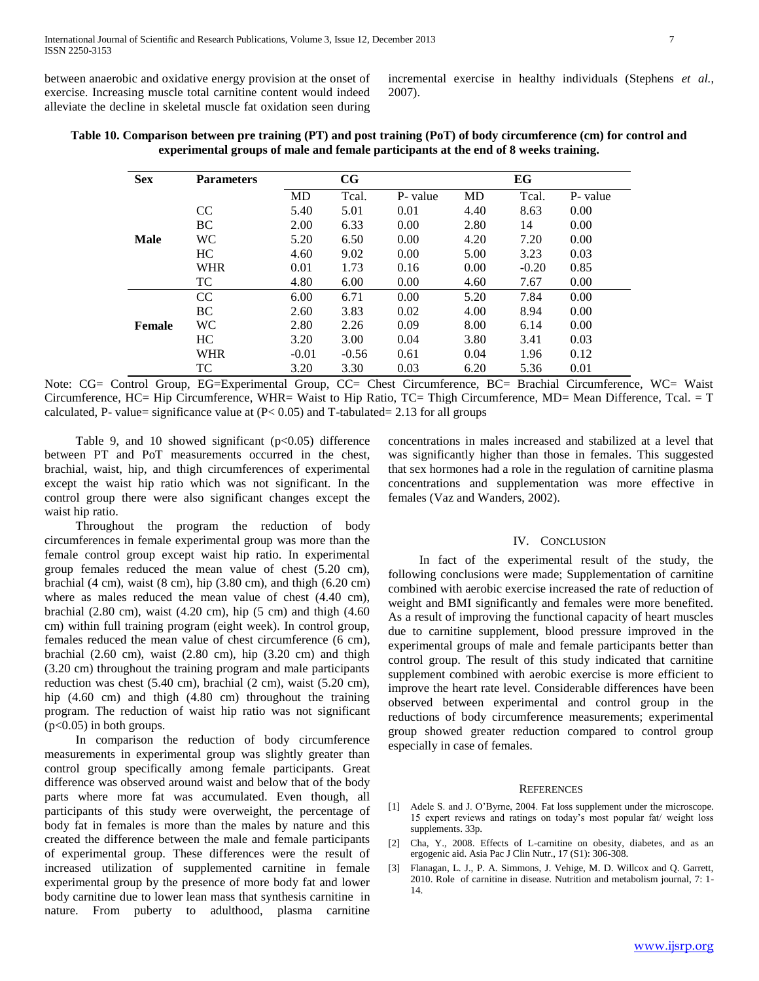between anaerobic and oxidative energy provision at the onset of exercise. Increasing muscle total carnitine content would indeed alleviate the decline in skeletal muscle fat oxidation seen during

incremental exercise in healthy individuals (Stephens *et al.*, 2007).

| <b>Sex</b>    | <b>Parameters</b> |      | $_{\rm CG}$ |          |      | EG      |          |
|---------------|-------------------|------|-------------|----------|------|---------|----------|
|               |                   | MD   | Tcal.       | P- value | MD   | Tcal.   | P- value |
|               | <sub>CC</sub>     | 5.40 | 5.01        | 0.01     | 4.40 | 8.63    | 0.00     |
|               | BC                | 2.00 | 6.33        | 0.00     | 2.80 | 14      | 0.00     |
| <b>Male</b>   | WC.               | 5.20 | 6.50        | 0.00     | 4.20 | 7.20    | 0.00     |
|               | HC                | 4.60 | 9.02        | 0.00     | 5.00 | 3.23    | 0.03     |
|               | <b>WHR</b>        | 0.01 | 1.73        | 0.16     | 0.00 | $-0.20$ | 0.85     |
|               | TC                | 4.80 | 6.00        | 0.00     | 4.60 | 7.67    | 0.00     |
|               | CC                | 6.00 | 6.71        | 0.00     | 5.20 | 7.84    | 0.00     |
|               | BC.               | 2.60 | 3.83        | 0.02     | 4.00 | 8.94    | 0.00     |
| <b>Female</b> | <b>WC</b>         | 2.80 | 2.26        | 0.09     | 8.00 | 6.14    | 0.00     |
|               | HC                | 3.20 | 3.00        | 0.04     | 3.80 | 3.41    | 0.03     |

| Table 10. Comparison between pre training (PT) and post training (PoT) of body circumference (cm) for control and |  |  |  |  |  |  |  |  |  |
|-------------------------------------------------------------------------------------------------------------------|--|--|--|--|--|--|--|--|--|
| experimental groups of male and female participants at the end of 8 weeks training.                               |  |  |  |  |  |  |  |  |  |

Note: CG= Control Group, EG=Experimental Group, CC= Chest Circumference, BC= Brachial Circumference, WC= Waist Circumference, HC= Hip Circumference, WHR= Waist to Hip Ratio, TC= Thigh Circumference, MD= Mean Difference, Tcal. = T calculated, P- value= significance value at  $(P< 0.05)$  and T-tabulated= 2.13 for all groups

WHR -0.01 -0.56 0.61 0.04 1.96 0.12 TC 3.20 3.30 0.03 6.20 5.36 0.01

Table 9, and 10 showed significant  $(p<0.05)$  difference between PT and PoT measurements occurred in the chest, brachial, waist, hip, and thigh circumferences of experimental except the waist hip ratio which was not significant. In the control group there were also significant changes except the waist hip ratio.

 Throughout the program the reduction of body circumferences in female experimental group was more than the female control group except waist hip ratio. In experimental group females reduced the mean value of chest (5.20 cm), brachial (4 cm), waist (8 cm), hip (3.80 cm), and thigh (6.20 cm) where as males reduced the mean value of chest (4.40 cm), brachial (2.80 cm), waist (4.20 cm), hip (5 cm) and thigh (4.60 cm) within full training program (eight week). In control group, females reduced the mean value of chest circumference (6 cm), brachial (2.60 cm), waist (2.80 cm), hip (3.20 cm) and thigh (3.20 cm) throughout the training program and male participants reduction was chest (5.40 cm), brachial (2 cm), waist (5.20 cm), hip (4.60 cm) and thigh (4.80 cm) throughout the training program. The reduction of waist hip ratio was not significant  $(p<0.05)$  in both groups.

 In comparison the reduction of body circumference measurements in experimental group was slightly greater than control group specifically among female participants. Great difference was observed around waist and below that of the body parts where more fat was accumulated. Even though, all participants of this study were overweight, the percentage of body fat in females is more than the males by nature and this created the difference between the male and female participants of experimental group. These differences were the result of increased utilization of supplemented carnitine in female experimental group by the presence of more body fat and lower body carnitine due to lower lean mass that synthesis carnitine in nature. From puberty to adulthood, plasma carnitine concentrations in males increased and stabilized at a level that was significantly higher than those in females. This suggested that sex hormones had a role in the regulation of carnitine plasma concentrations and supplementation was more effective in females (Vaz and Wanders, 2002).

# IV. CONCLUSION

 In fact of the experimental result of the study, the following conclusions were made; Supplementation of carnitine combined with aerobic exercise increased the rate of reduction of weight and BMI significantly and females were more benefited. As a result of improving the functional capacity of heart muscles due to carnitine supplement, blood pressure improved in the experimental groups of male and female participants better than control group. The result of this study indicated that carnitine supplement combined with aerobic exercise is more efficient to improve the heart rate level. Considerable differences have been observed between experimental and control group in the reductions of body circumference measurements; experimental group showed greater reduction compared to control group especially in case of females.

#### **REFERENCES**

- [1] Adele S. and J. O'Byrne, 2004. Fat loss supplement under the microscope. 15 expert reviews and ratings on today's most popular fat/ weight loss supplements. 33p.
- [2] Cha, Y., 2008. Effects of L-carnitine on obesity, diabetes, and as an ergogenic aid. Asia Pac J Clin Nutr., 17 (S1): 306-308.
- [3] Flanagan, L. J., P. A. Simmons, J. Vehige, M. D. Willcox and Q. Garrett, 2010. Role of carnitine in disease. Nutrition and metabolism journal, 7: 1- 14.